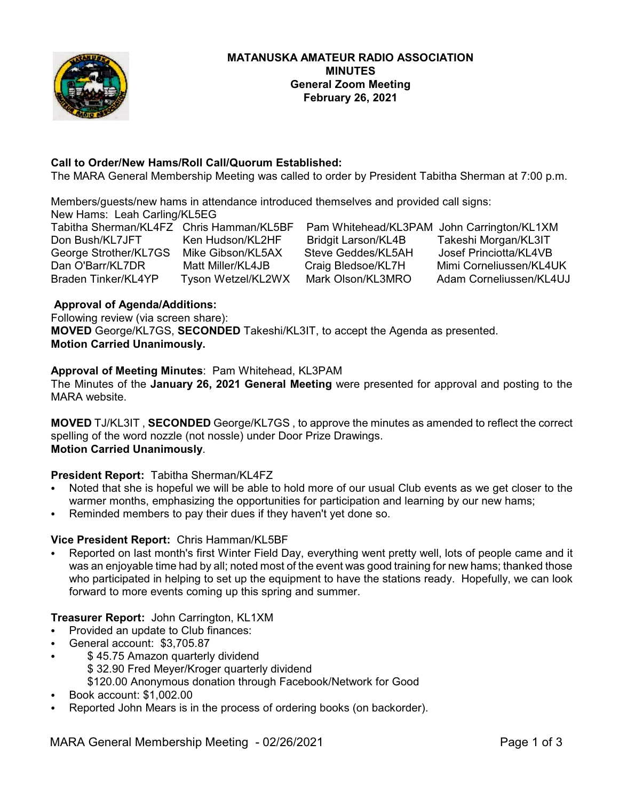

# **Call to Order/New Hams/Roll Call/Quorum Established:**

The MARA General Membership Meeting was called to order by President Tabitha Sherman at 7:00 p.m.

Members/guests/new hams in attendance introduced themselves and provided call signs: New Hams: Leah Carling/KL5EG

George Strother/KL7GS Mike Gibson/KL5AX Steve Geddes/KL5AH

Bridgit Larson/KL4B Takeshi Morgan/KL3IT<br>Steve Geddes/KL5AH Josef Princiotta/KL4VB

Tabitha Sherman/KL4FZ Chris Hamman/KL5BF Pam Whitehead/KL3PAM John Carrington/KL1XM<br>Don Bush/KL7JFT Ken Hudson/KL2HF Bridgit Larson/KL4B Takeshi Morgan/KL3IT Dan O'Barr/KL7DR Matt Miller/KL4JB Craig Bledsoe/KL7H Mimi Corneliussen/KL4UK<br>Braden Tinker/KL4YP Tyson Wetzel/KL2WX Mark Olson/KL3MRO Adam Corneliussen/KL4UJ Tyson Wetzel/KL2WX Mark Olson/KL3MRO Adam Corneliussen/KL4UJ

# **Approval of Agenda/Additions:**

Following review (via screen share): **MOVED** George/KL7GS, **SECONDED** Takeshi/KL3IT, to accept the Agenda as presented.

# **Motion Carried Unanimously.**

# **Approval of Meeting Minutes**: Pam Whitehead, KL3PAM

The Minutes of the **January 26, 2021 General Meeting** were presented for approval and posting to the MARA website.

**MOVED** TJ/KL3IT , **SECONDED** George/KL7GS , to approve the minutes as amended to reflect the correct spelling of the word nozzle (not nossle) under Door Prize Drawings. **Motion Carried Unanimously**.

# **President Report:** Tabitha Sherman/KL4FZ

- Noted that she is hopeful we will be able to hold more of our usual Club events as we get closer to the warmer months, emphasizing the opportunities for participation and learning by our new hams;
- Reminded members to pay their dues if they haven't yet done so.

### **Vice President Report:** Chris Hamman/KL5BF

Reported on last month's first Winter Field Day, everything went pretty well, lots of people came and it was an enjoyable time had by all; noted most of the event was good training for new hams; thanked those who participated in helping to set up the equipment to have the stations ready. Hopefully, we can look forward to more events coming up this spring and summer.

# **Treasurer Report:** John Carrington, KL1XM

- Provided an update to Club finances:
- C General account: \$3,705.87
- \$45.75 Amazon quarterly dividend \$ 32.90 Fred Meyer/Kroger quarterly dividend
	- \$120.00 Anonymous donation through Facebook/Network for Good
- C Book account: \$1,002.00
- Reported John Mears is in the process of ordering books (on backorder).

MARA General Membership Meeting - 02/26/2021 **Page 1 of 3**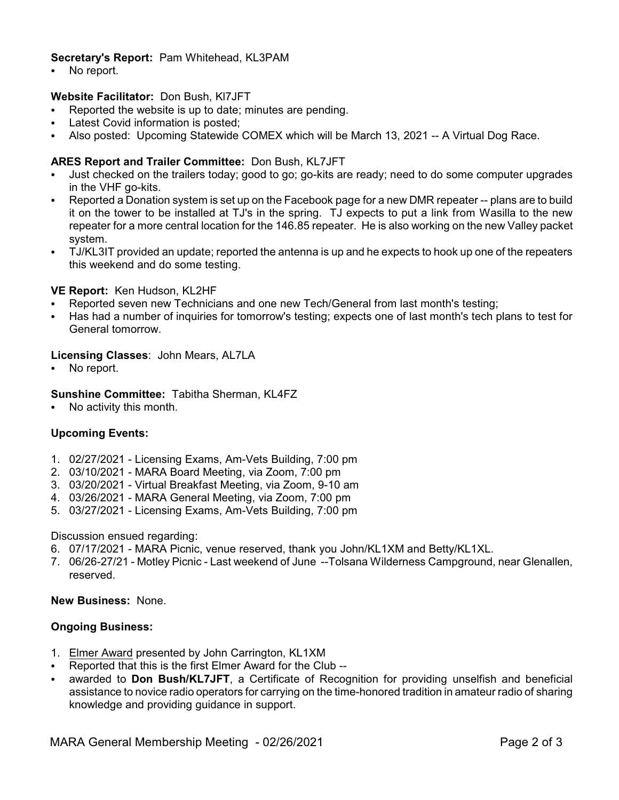# **Secretary's Report:** Pam Whitehead, KL3PAM

• No report.

# **Website Facilitator:** Don Bush, Kl7JFT

- Reported the website is up to date; minutes are pending.
- Latest Covid information is posted;
- C Also posted: Upcoming Statewide COMEX which will be March 13, 2021 -- A Virtual Dog Race.

# **ARES Report and Trailer Committee:** Don Bush, KL7JFT

- Just checked on the trailers today; good to go; go-kits are ready; need to do some computer upgrades in the VHF go-kits.
- Reported a Donation system is set up on the Facebook page for a new DMR repeater -- plans are to build it on the tower to be installed at TJ's in the spring. TJ expects to put a link from Wasilla to the new repeater for a more central location for the 146.85 repeater. He is also working on the new Valley packet system.
- TJ/KL3IT provided an update; reported the antenna is up and he expects to hook up one of the repeaters this weekend and do some testing.

### **VE Report:** Ken Hudson, KL2HF

- Reported seven new Technicians and one new Tech/General from last month's testing;
- Has had a number of inquiries for tomorrow's testing; expects one of last month's tech plans to test for General tomorrow.

#### **Licensing Classes**: John Mears, AL7LA

No report.

#### **Sunshine Committee:** Tabitha Sherman, KL4FZ

No activity this month.

### **Upcoming Events:**

- 1. 02/27/2021 Licensing Exams, Am-Vets Building, 7:00 pm
- 2. 03/10/2021 MARA Board Meeting, via Zoom, 7:00 pm
- 3. 03/20/2021 Virtual Breakfast Meeting, via Zoom, 9-10 am
- 4. 03/26/2021 MARA General Meeting, via Zoom, 7:00 pm
- 5. 03/27/2021 Licensing Exams, Am-Vets Building, 7:00 pm

#### Discussion ensued regarding:

- 6. 07/17/2021 MARA Picnic, venue reserved, thank you John/KL1XM and Betty/KL1XL.
- 7. 06/26-27/21 Motley Picnic Last weekend of June --Tolsana Wilderness Campground, near Glenallen, reserved.

#### **New Business:** None.

### **Ongoing Business:**

- 1. Elmer Award presented by John Carrington, KL1XM
- Reported that this is the first Elmer Award for the Club --
- awarded to **Don Bush/KL7JFT**, a Certificate of Recognition for providing unselfish and beneficial assistance to novice radio operators for carrying on the time-honored tradition in amateur radio of sharing knowledge and providing guidance in support.